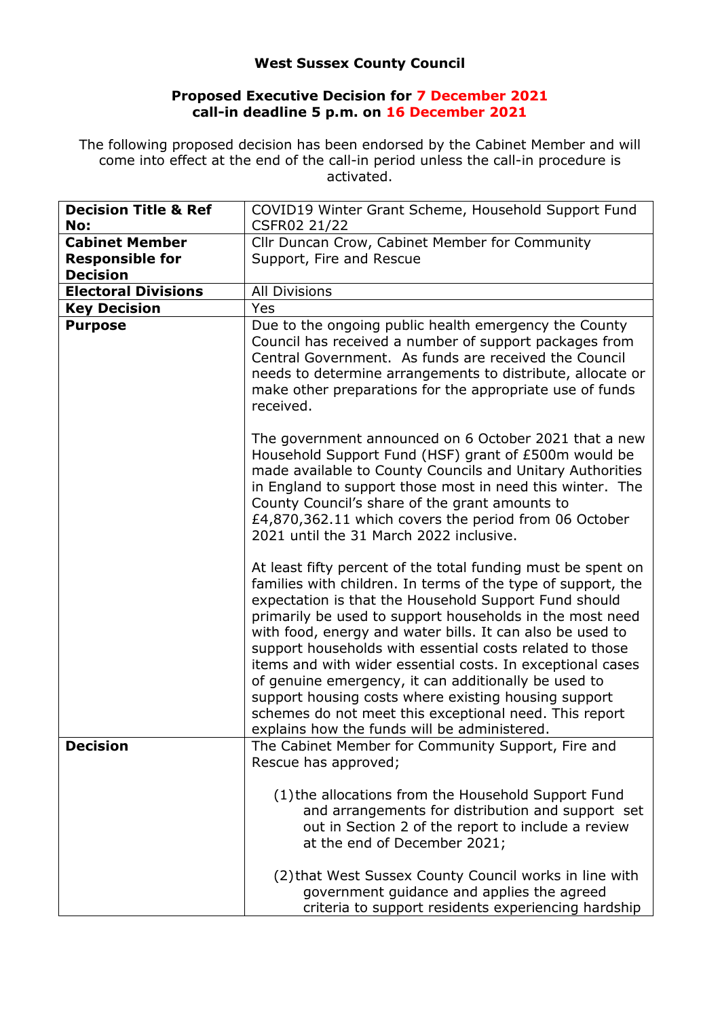## **West Sussex County Council**

## **Proposed Executive Decision for 7 December 2021 call-in deadline 5 p.m. on 16 December 2021**

The following proposed decision has been endorsed by the Cabinet Member and will come into effect at the end of the call-in period unless the call-in procedure is activated.

| <b>Decision Title &amp; Ref</b><br>No: | COVID19 Winter Grant Scheme, Household Support Fund<br>CSFR02 21/22                                                                                                                                                                                                                                                                                                                                                                                                                                                                                                                                                                                                |
|----------------------------------------|--------------------------------------------------------------------------------------------------------------------------------------------------------------------------------------------------------------------------------------------------------------------------------------------------------------------------------------------------------------------------------------------------------------------------------------------------------------------------------------------------------------------------------------------------------------------------------------------------------------------------------------------------------------------|
| <b>Cabinet Member</b>                  | Cllr Duncan Crow, Cabinet Member for Community                                                                                                                                                                                                                                                                                                                                                                                                                                                                                                                                                                                                                     |
| <b>Responsible for</b>                 | Support, Fire and Rescue                                                                                                                                                                                                                                                                                                                                                                                                                                                                                                                                                                                                                                           |
| <b>Decision</b>                        |                                                                                                                                                                                                                                                                                                                                                                                                                                                                                                                                                                                                                                                                    |
| <b>Electoral Divisions</b>             | <b>All Divisions</b>                                                                                                                                                                                                                                                                                                                                                                                                                                                                                                                                                                                                                                               |
|                                        | Yes                                                                                                                                                                                                                                                                                                                                                                                                                                                                                                                                                                                                                                                                |
| <b>Key Decision</b>                    | Due to the ongoing public health emergency the County                                                                                                                                                                                                                                                                                                                                                                                                                                                                                                                                                                                                              |
| <b>Purpose</b>                         | Council has received a number of support packages from<br>Central Government. As funds are received the Council<br>needs to determine arrangements to distribute, allocate or<br>make other preparations for the appropriate use of funds<br>received.                                                                                                                                                                                                                                                                                                                                                                                                             |
|                                        | The government announced on 6 October 2021 that a new<br>Household Support Fund (HSF) grant of £500m would be<br>made available to County Councils and Unitary Authorities<br>in England to support those most in need this winter. The<br>County Council's share of the grant amounts to<br>£4,870,362.11 which covers the period from 06 October<br>2021 until the 31 March 2022 inclusive.                                                                                                                                                                                                                                                                      |
|                                        | At least fifty percent of the total funding must be spent on<br>families with children. In terms of the type of support, the<br>expectation is that the Household Support Fund should<br>primarily be used to support households in the most need<br>with food, energy and water bills. It can also be used to<br>support households with essential costs related to those<br>items and with wider essential costs. In exceptional cases<br>of genuine emergency, it can additionally be used to<br>support housing costs where existing housing support<br>schemes do not meet this exceptional need. This report<br>explains how the funds will be administered. |
| <b>Decision</b>                        | The Cabinet Member for Community Support, Fire and<br>Rescue has approved;                                                                                                                                                                                                                                                                                                                                                                                                                                                                                                                                                                                         |
|                                        | (1) the allocations from the Household Support Fund<br>and arrangements for distribution and support set<br>out in Section 2 of the report to include a review<br>at the end of December 2021;                                                                                                                                                                                                                                                                                                                                                                                                                                                                     |
|                                        | (2) that West Sussex County Council works in line with<br>government guidance and applies the agreed<br>criteria to support residents experiencing hardship                                                                                                                                                                                                                                                                                                                                                                                                                                                                                                        |